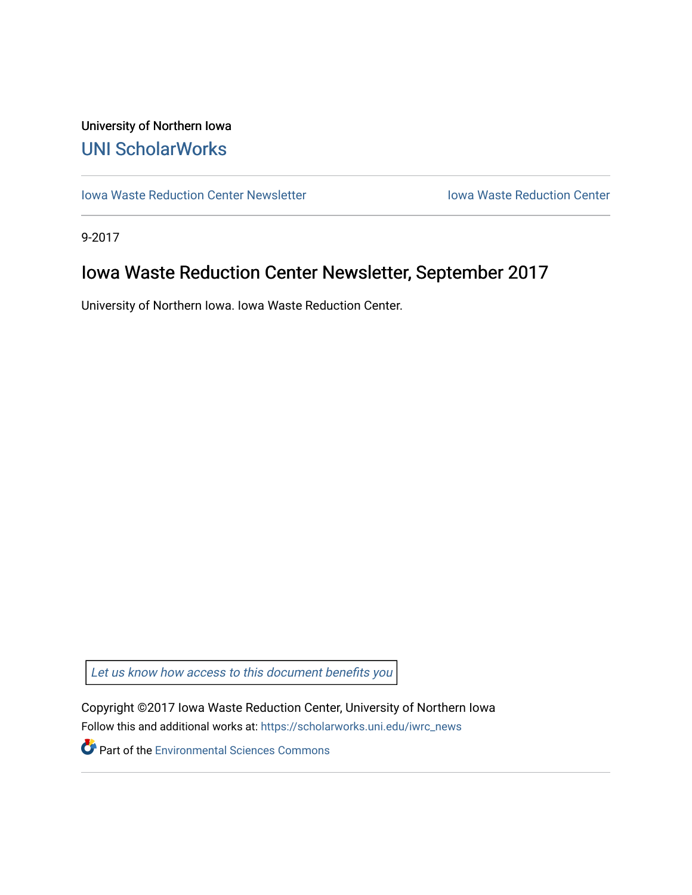## University of Northern Iowa [UNI ScholarWorks](https://scholarworks.uni.edu/)

[Iowa Waste Reduction Center Newsletter](https://scholarworks.uni.edu/iwrc_news) **Internal Communist Communist Center** Iowa Waste Reduction Center

9-2017

# Iowa Waste Reduction Center Newsletter, September 2017

University of Northern Iowa. Iowa Waste Reduction Center.

Let us know how access to this document benefits you

Copyright ©2017 Iowa Waste Reduction Center, University of Northern Iowa Follow this and additional works at: [https://scholarworks.uni.edu/iwrc\\_news](https://scholarworks.uni.edu/iwrc_news?utm_source=scholarworks.uni.edu%2Fiwrc_news%2F12&utm_medium=PDF&utm_campaign=PDFCoverPages) 

**Part of the [Environmental Sciences Commons](http://network.bepress.com/hgg/discipline/167?utm_source=scholarworks.uni.edu%2Fiwrc_news%2F12&utm_medium=PDF&utm_campaign=PDFCoverPages)**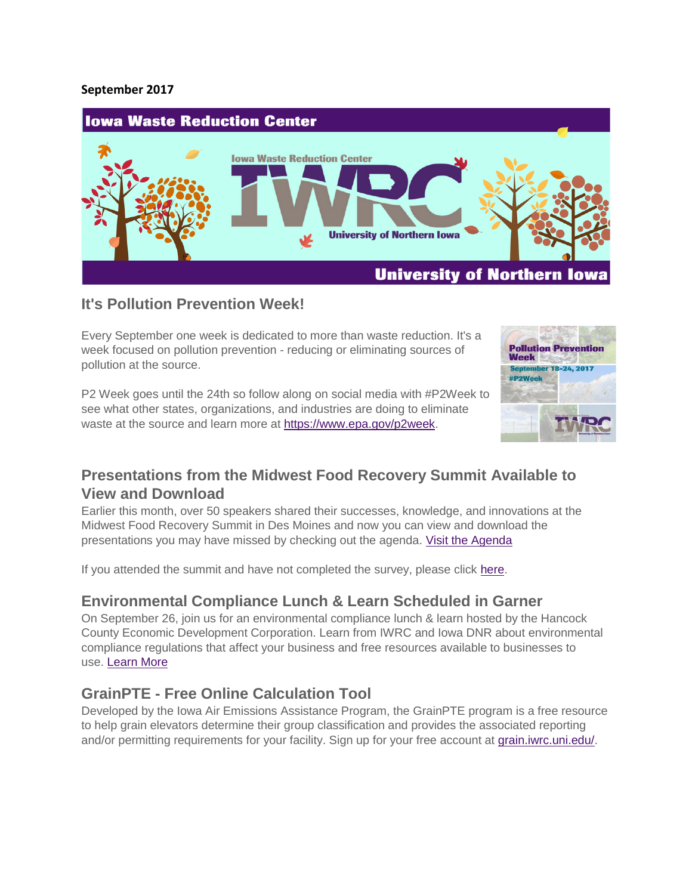#### **September 2017**



#### **It's Pollution Prevention Week!**

Every September one week is dedicated to more than waste reduction. It's a week focused on pollution prevention - reducing or eliminating sources of pollution at the source.

P2 Week goes until the 24th so follow along on social media with #P2Week to see what other states, organizations, and industries are doing to eliminate waste at the source and learn more at [https://www.epa.gov/p2week.](https://www.epa.gov/p2week)



### **Presentations from the Midwest Food Recovery Summit Available to View and Download**

Earlier this month, over 50 speakers shared their successes, knowledge, and innovations at the Midwest Food Recovery Summit in Des Moines and now you can view and download the presentations you may have missed by checking out the agenda. [Visit the Agenda](https://iwrc.uni.edu/foodrecoverysummit/agenda)

If you attended the summit and have not completed the survey, please click [here.](https://www.surveymonkey.com/r/food-recovery-summit-2017)

#### **Environmental Compliance Lunch & Learn Scheduled in Garner**

On September 26, join us for an environmental compliance lunch & learn hosted by the Hancock County Economic Development Corporation. Learn from IWRC and Iowa DNR about environmental compliance regulations that affect your business and free resources available to businesses to use. [Learn More](https://iwrc.uni.edu/environmental-compliance-lunch-learn)

#### **GrainPTE - Free Online Calculation Tool**

Developed by the Iowa Air Emissions Assistance Program, the GrainPTE program is a free resource to help grain elevators determine their group classification and provides the associated reporting and/or permitting requirements for your facility. Sign up for your free account at [grain.iwrc.uni.edu/.](https://grain.iwrc.uni.edu/)